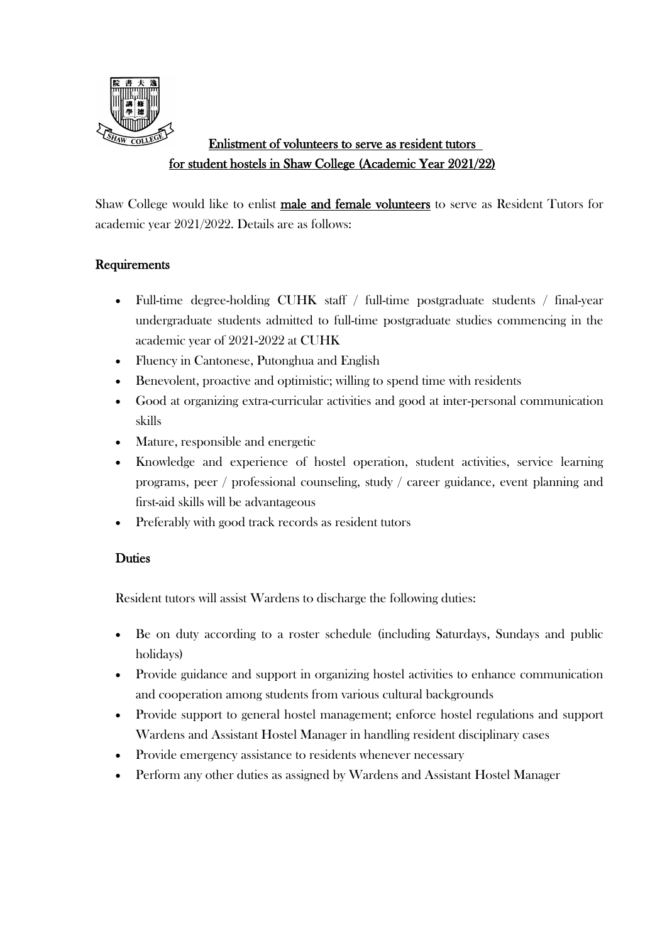

# Enlistment of volunteers to serve as resident tutors for student hostels in Shaw College (Academic Year 2021/22)

Shaw College would like to enlist male and female volunteers to serve as Resident Tutors for academic year 2021/2022. Details are as follows:

## **Requirements**

- Full-time degree-holding CUHK staff / full-time postgraduate students / final-year undergraduate students admitted to full-time postgraduate studies commencing in the academic year of 2021-2022 at CUHK
- Fluency in Cantonese, Putonghua and English
- Benevolent, proactive and optimistic; willing to spend time with residents
- Good at organizing extra-curricular activities and good at inter-personal communication skills
- Mature, responsible and energetic
- Knowledge and experience of hostel operation, student activities, service learning programs, peer / professional counseling, study / career guidance, event planning and first-aid skills will be advantageous
- Preferably with good track records as resident tutors

## **Duties**

Resident tutors will assist Wardens to discharge the following duties:

- Be on duty according to a roster schedule (including Saturdays, Sundays and public holidays)
- Provide guidance and support in organizing hostel activities to enhance communication and cooperation among students from various cultural backgrounds
- Provide support to general hostel management; enforce hostel regulations and support Wardens and Assistant Hostel Manager in handling resident disciplinary cases
- Provide emergency assistance to residents whenever necessary
- Perform any other duties as assigned by Wardens and Assistant Hostel Manager